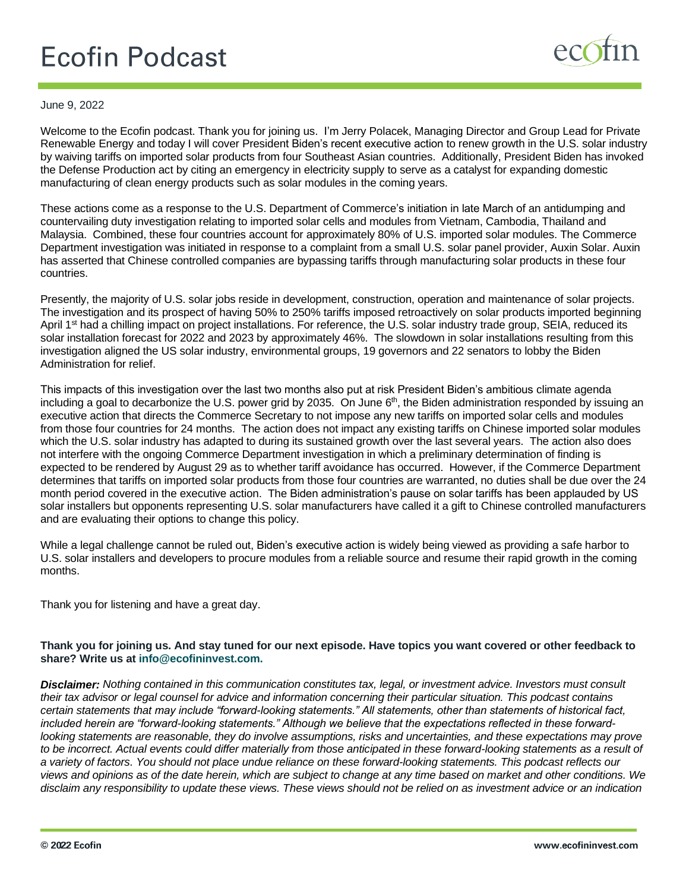## **Ecofin Podcast**



## June 9, 2022

Welcome to the Ecofin podcast. Thank you for joining us. I'm Jerry Polacek, Managing Director and Group Lead for Private Renewable Energy and today I will cover President Biden's recent executive action to renew growth in the U.S. solar industry by waiving tariffs on imported solar products from four Southeast Asian countries. Additionally, President Biden has invoked the Defense Production act by citing an emergency in electricity supply to serve as a catalyst for expanding domestic manufacturing of clean energy products such as solar modules in the coming years.

These actions come as a response to the U.S. Department of Commerce's initiation in late March of an antidumping and countervailing duty investigation relating to imported solar cells and modules from Vietnam, Cambodia, Thailand and Malaysia. Combined, these four countries account for approximately 80% of U.S. imported solar modules. The Commerce Department investigation was initiated in response to a complaint from a small U.S. solar panel provider, Auxin Solar. Auxin has asserted that Chinese controlled companies are bypassing tariffs through manufacturing solar products in these four countries.

Presently, the majority of U.S. solar jobs reside in development, construction, operation and maintenance of solar projects. The investigation and its prospect of having 50% to 250% tariffs imposed retroactively on solar products imported beginning April 1<sup>st</sup> had a chilling impact on project installations. For reference, the U.S. solar industry trade group, SEIA, reduced its solar installation forecast for 2022 and 2023 by approximately 46%. The slowdown in solar installations resulting from this investigation aligned the US solar industry, environmental groups, 19 governors and 22 senators to lobby the Biden Administration for relief.

This impacts of this investigation over the last two months also put at risk President Biden's ambitious climate agenda including a goal to decarbonize the U.S. power grid by 2035. On June 6<sup>th</sup>, the Biden administration responded by issuing an executive action that directs the Commerce Secretary to not impose any new tariffs on imported solar cells and modules from those four countries for 24 months. The action does not impact any existing tariffs on Chinese imported solar modules which the U.S. solar industry has adapted to during its sustained growth over the last several years. The action also does not interfere with the ongoing Commerce Department investigation in which a preliminary determination of finding is expected to be rendered by August 29 as to whether tariff avoidance has occurred. However, if the Commerce Department determines that tariffs on imported solar products from those four countries are warranted, no duties shall be due over the 24 month period covered in the executive action. The Biden administration's pause on solar tariffs has been applauded by US solar installers but opponents representing U.S. solar manufacturers have called it a gift to Chinese controlled manufacturers and are evaluating their options to change this policy.

While a legal challenge cannot be ruled out, Biden's executive action is widely being viewed as providing a safe harbor to U.S. solar installers and developers to procure modules from a reliable source and resume their rapid growth in the coming months.

Thank you for listening and have a great day.

## **Thank you for joining us. And stay tuned for our next episode. Have topics you want covered or other feedback to share? Write us at info@ecofininvest.com.**

*Disclaimer: Nothing contained in this communication constitutes tax, legal, or investment advice. Investors must consult their tax advisor or legal counsel for advice and information concerning their particular situation. This podcast contains certain statements that may include "forward-looking statements." All statements, other than statements of historical fact, included herein are "forward-looking statements." Although we believe that the expectations reflected in these forwardlooking statements are reasonable, they do involve assumptions, risks and uncertainties, and these expectations may prove*  to be incorrect. Actual events could differ materially from those anticipated in these forward-looking statements as a result of *a variety of factors. You should not place undue reliance on these forward-looking statements. This podcast reflects our views and opinions as of the date herein, which are subject to change at any time based on market and other conditions. We disclaim any responsibility to update these views. These views should not be relied on as investment advice or an indication*